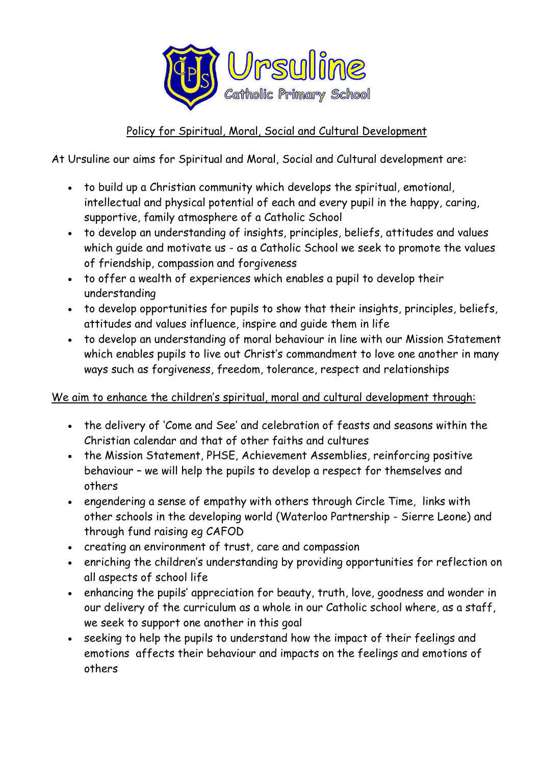

## Policy for Spiritual, Moral, Social and Cultural Development

At Ursuline our aims for Spiritual and Moral, Social and Cultural development are:

- to build up a Christian community which develops the spiritual, emotional, intellectual and physical potential of each and every pupil in the happy, caring, supportive, family atmosphere of a Catholic School
- to develop an understanding of insights, principles, beliefs, attitudes and values which quide and motivate us - as a Catholic School we seek to promote the values of friendship, compassion and forgiveness
- to offer a wealth of experiences which enables a pupil to develop their understanding
- to develop opportunities for pupils to show that their insights, principles, beliefs, attitudes and values influence, inspire and guide them in life
- to develop an understanding of moral behaviour in line with our Mission Statement which enables pupils to live out Christ's commandment to love one another in many ways such as forgiveness, freedom, tolerance, respect and relationships

## We aim to enhance the children's spiritual, moral and cultural development through:

- the delivery of 'Come and See' and celebration of feasts and seasons within the Christian calendar and that of other faiths and cultures
- the Mission Statement, PHSE, Achievement Assemblies, reinforcing positive behaviour – we will help the pupils to develop a respect for themselves and others
- engendering a sense of empathy with others through Circle Time, links with other schools in the developing world (Waterloo Partnership - Sierre Leone) and through fund raising eg CAFOD
- creating an environment of trust, care and compassion
- enriching the children's understanding by providing opportunities for reflection on all aspects of school life
- enhancing the pupils' appreciation for beauty, truth, love, goodness and wonder in our delivery of the curriculum as a whole in our Catholic school where, as a staff, we seek to support one another in this goal
- seeking to help the pupils to understand how the impact of their feelings and emotions affects their behaviour and impacts on the feelings and emotions of others